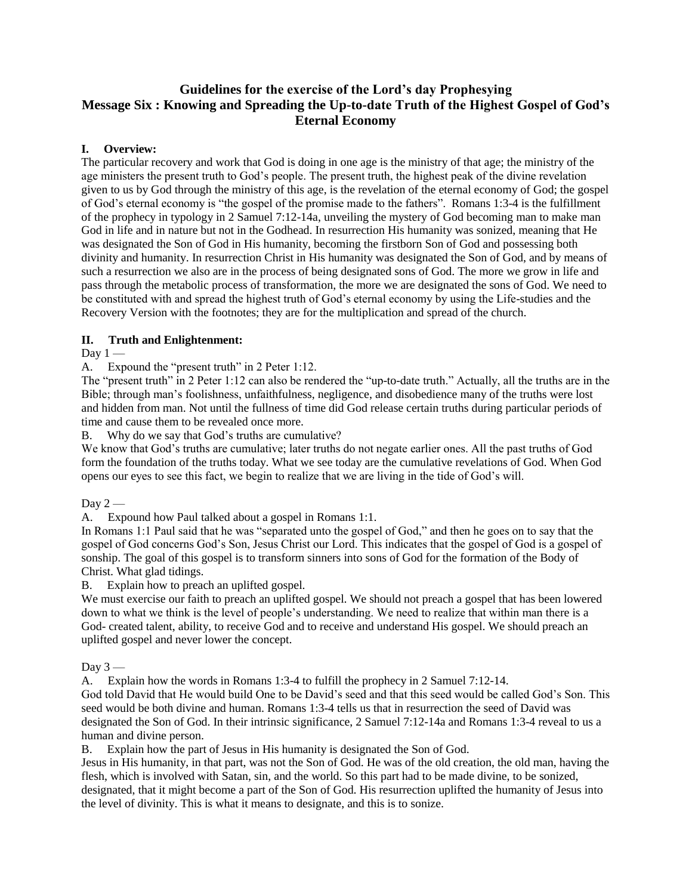# **Guidelines for the exercise of the Lord's day Prophesying Message Six : Knowing and Spreading the Up-to-date Truth of the Highest Gospel of God's Eternal Economy**

## **I. Overview:**

The particular recovery and work that God is doing in one age is the ministry of that age; the ministry of the age ministers the present truth to God's people. The present truth, the highest peak of the divine revelation given to us by God through the ministry of this age, is the revelation of the eternal economy of God; the gospel of God's eternal economy is "the gospel of the promise made to the fathers". Romans 1:3-4 is the fulfillment of the prophecy in typology in 2 Samuel 7:12-14a, unveiling the mystery of God becoming man to make man God in life and in nature but not in the Godhead. In resurrection His humanity was sonized, meaning that He was designated the Son of God in His humanity, becoming the firstborn Son of God and possessing both divinity and humanity. In resurrection Christ in His humanity was designated the Son of God, and by means of such a resurrection we also are in the process of being designated sons of God. The more we grow in life and pass through the metabolic process of transformation, the more we are designated the sons of God. We need to be constituted with and spread the highest truth of God's eternal economy by using the Life-studies and the Recovery Version with the footnotes; they are for the multiplication and spread of the church.

## **II. Truth and Enlightenment:**

### Day  $1 -$

A. Expound the "present truth" in 2 Peter 1:12.

The "present truth" in 2 Peter 1:12 can also be rendered the "up-to-date truth." Actually, all the truths are in the Bible; through man's foolishness, unfaithfulness, negligence, and disobedience many of the truths were lost and hidden from man. Not until the fullness of time did God release certain truths during particular periods of time and cause them to be revealed once more.

B. Why do we say that God's truths are cumulative?

We know that God's truths are cumulative; later truths do not negate earlier ones. All the past truths of God form the foundation of the truths today. What we see today are the cumulative revelations of God. When God opens our eyes to see this fact, we begin to realize that we are living in the tide of God's will.

### Day  $2-$

A. Expound how Paul talked about a gospel in Romans 1:1.

In Romans 1:1 Paul said that he was "separated unto the gospel of God," and then he goes on to say that the gospel of God concerns God's Son, Jesus Christ our Lord. This indicates that the gospel of God is a gospel of sonship. The goal of this gospel is to transform sinners into sons of God for the formation of the Body of Christ. What glad tidings.

B. Explain how to preach an uplifted gospel.

We must exercise our faith to preach an uplifted gospel. We should not preach a gospel that has been lowered down to what we think is the level of people's understanding. We need to realize that within man there is a God- created talent, ability, to receive God and to receive and understand His gospel. We should preach an uplifted gospel and never lower the concept.

### Day 3 -

A. Explain how the words in Romans 1:3-4 to fulfill the prophecy in 2 Samuel 7:12-14.

God told David that He would build One to be David's seed and that this seed would be called God's Son. This seed would be both divine and human. Romans 1:3-4 tells us that in resurrection the seed of David was designated the Son of God. In their intrinsic significance, 2 Samuel 7:12-14a and Romans 1:3-4 reveal to us a human and divine person.

B. Explain how the part of Jesus in His humanity is designated the Son of God.

Jesus in His humanity, in that part, was not the Son of God. He was of the old creation, the old man, having the flesh, which is involved with Satan, sin, and the world. So this part had to be made divine, to be sonized, designated, that it might become a part of the Son of God. His resurrection uplifted the humanity of Jesus into the level of divinity. This is what it means to designate, and this is to sonize.